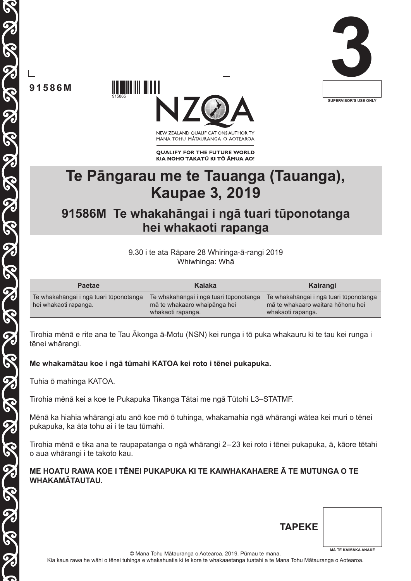

**91586M**

915865



NEW ZEALAND OUALIFICATIONS AUTHORITY MANA TOHU MĀTAURANGA O AOTEAROA

**QUALIFY FOR THE FUTURE WORLD** KIA NOHO TAKATŪ KI TŌ ĀMUA AO!

# **Te Pāngarau me te Tauanga (Tauanga), Kaupae 3, 2019**

# **91586M Te whakahāngai i ngā tuari tūponotanga hei whakaoti rapanga**

9.30 i te ata Rāpare 28 Whiringa-ā-rangi 2019 Whiwhinga: Whā

| <b>Paetae</b>                                                   | Kaiaka                                                                                      | Kairangi                                                                                         |
|-----------------------------------------------------------------|---------------------------------------------------------------------------------------------|--------------------------------------------------------------------------------------------------|
| Te whakahāngai i ngā tuari tūponotanga<br>hei whakaoti rapanga. | Te whakahāngai i ngā tuari tūponotanga<br>mā te whakaaro whaipānga hei<br>whakaoti rapanga. | Te whakahāngai i ngā tuari tūponotanga<br>mā te whakaaro waitara hōhonu hei<br>whakaoti rapanga. |

Tirohia mēnā e rite ana te Tau Ākonga ā-Motu (NSN) kei runga i tō puka whakauru ki te tau kei runga i tēnei whārangi.

## **Me whakamātau koe i ngā tūmahi KATOA kei roto i tēnei pukapuka.**

Tuhia ō mahinga KATOA.

Tirohia mēnā kei a koe te Pukapuka Tikanga Tātai me ngā Tūtohi L3–STATMF.

Mēnā ka hiahia whārangi atu anō koe mō ō tuhinga, whakamahia ngā whārangi wātea kei muri o tēnei pukapuka, ka āta tohu ai i te tau tūmahi.

Tirohia mēnā e tika ana te raupapatanga o ngā whārangi 2–23 kei roto i tēnei pukapuka, ā, kāore tētahi o aua whārangi i te takoto kau.

#### **ME HOATU RAWA KOE I TĒNEI PUKAPUKA KI TE KAIWHAKAHAERE Ā TE MUTUNGA O TE WHAKAMĀTAUTAU.**

| <b>TAPEKE</b> |                            |
|---------------|----------------------------|
|               | <b>MĀ TE KAIMĀKA ANAKE</b> |

© Mana Tohu Mātauranga o Aotearoa, 2019. Pūmau te mana.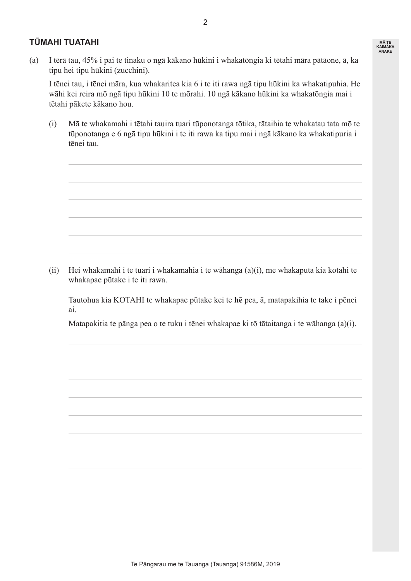#### **TŪMAHI TUATAHI**

(a) I tērā tau, 45% i pai te tinaku o ngā kākano hūkini i whakatōngia ki tētahi māra pātāone, ā, ka tipu hei tipu hūkini (zucchini).

 I tēnei tau, i tēnei māra, kua whakaritea kia 6 i te iti rawa ngā tipu hūkini ka whakatipuhia. He wāhi kei reira mō ngā tipu hūkini 10 te mōrahi. 10 ngā kākano hūkini ka whakatōngia mai i tētahi pākete kākano hou.

 (i) Mā te whakamahi i tētahi tauira tuari tūponotanga tōtika, tātaihia te whakatau tata mō te tūponotanga e 6 ngā tipu hūkini i te iti rawa ka tipu mai i ngā kākano ka whakatipuria i tēnei tau.

 (ii) Hei whakamahi i te tuari i whakamahia i te wāhanga (a)(i), me whakaputa kia kotahi te whakapae pūtake i te iti rawa.

 Tautohua kia KOTAHI te whakapae pūtake kei te **hē** pea, ā, matapakihia te take i pēnei ai.

 Matapakitia te pānga pea o te tuku i tēnei whakapae ki tō tātaitanga i te wāhanga (a)(i).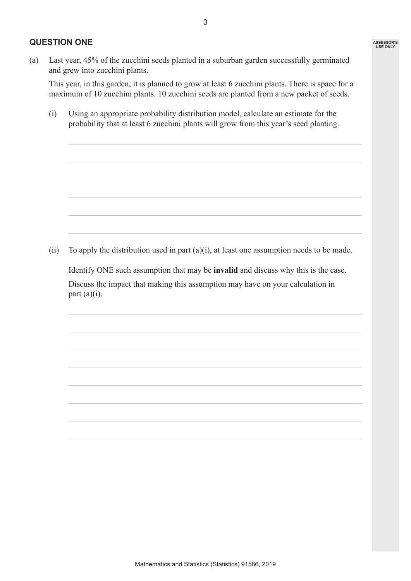#### **QUESTION ONE**

 This year, in this garden, it is planned to grow at least 6 zucchini plants. There is space for a maximum of 10 zucchini plants. 10 zucchini seeds are planted from a new packet of seeds.

 (i) Using an appropriate probability distribution model, calculate an estimate for the probability that at least 6 zucchini plants will grow from this year's seed planting.

(ii) To apply the distribution used in part  $(a)(i)$ , at least one assumption needs to be made.

 Identify ONE such assumption that may be **invalid** and discuss why this is the case.

 Discuss the impact that making this assumption may have on your calculation in part  $(a)(i)$ .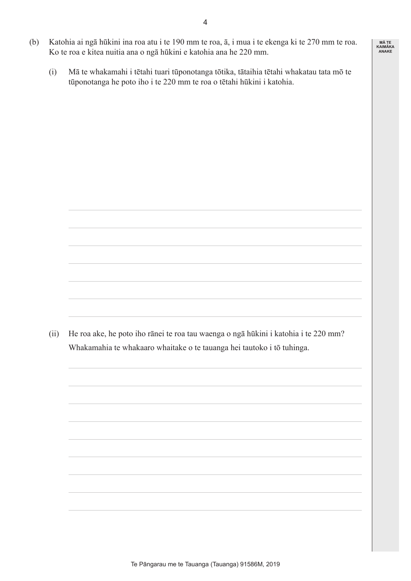- (b) Katohia ai ngā hūkini ina roa atu i te 190 mm te roa, ā, i mua i te ekenga ki te 270 mm te roa. Ko te roa e kitea nuitia ana o ngā hūkini e katohia ana he 220 mm.
	- (i) Mā te whakamahi i tētahi tuari tūponotanga tōtika, tātaihia tētahi whakatau tata mō te tūponotanga he poto iho i te 220 mm te roa o tētahi hūkini i katohia.

 (ii) He roa ake, he poto iho rānei te roa tau waenga o ngā hūkini i katohia i te 220 mm? Whakamahia te whakaaro whaitake o te tauanga hei tautoko i tō tuhinga.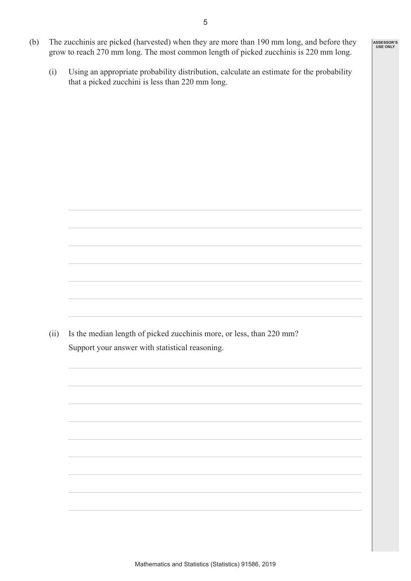- (b) The zucchinis are picked (harvested) when they are more than 190 mm long, and before they grow to reach 270 mm long. The most common length of picked zucchinis is 220 mm long.
	- (i) Using an appropriate probability distribution, calculate an estimate for the probability that a picked zucchini is less than 220 mm long.

(ii) Is the median length of picked zucchinis more, or less, than 220 mm? Support your answer with statistical reasoning.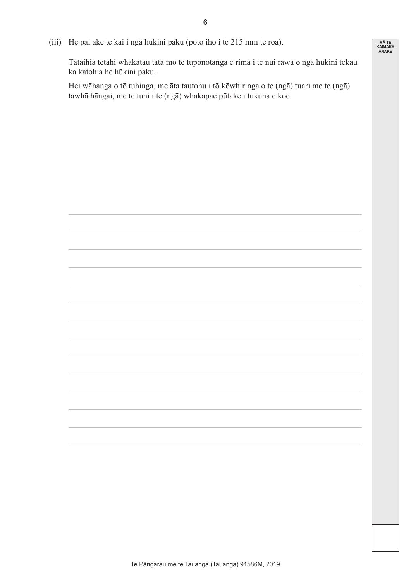(iii) He pai ake te kai i ngā hūkini paku (poto iho i te 215 mm te roa).

 Tātaihia tētahi whakatau tata mō te tūponotanga e rima i te nui rawa o ngā hūkini tekau ka katohia he hūkini paku.

 Hei wāhanga o tō tuhinga, me āta tautohu i tō kōwhiringa o te (ngā) tuari me te (ngā) tawhā hāngai, me te tuhi i te (ngā) whakapae pūtake i tukuna e koe.

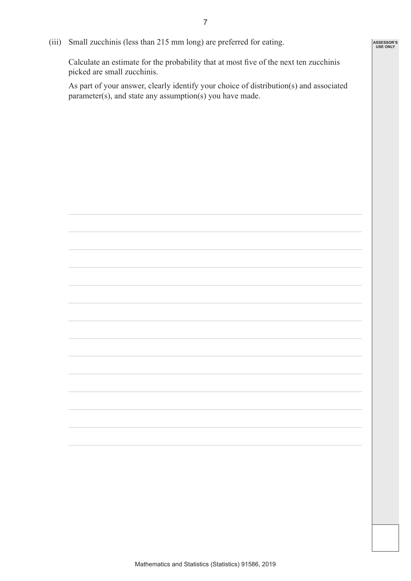(iii) Small zucchinis (less than 215 mm long) are preferred for eating.

 Calculate an estimate for the probability that at most five of the next ten zucchinis picked are small zucchinis.

 As part of your answer, clearly identify your choice of distribution(s) and associated parameter(s), and state any assumption(s) you have made.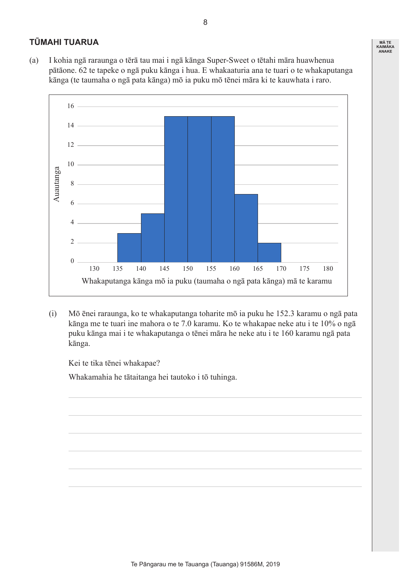### **TŪMAHI TUARUA**

(a) I kohia ngā raraunga o tērā tau mai i ngā kānga Super-Sweet o tētahi māra huawhenua pātāone. 62 te tapeke o ngā puku kānga i hua. E whakaaturia ana te tuari o te whakaputanga kānga (te taumaha o ngā pata kānga) mō ia puku mō tēnei māra ki te kauwhata i raro.



 (i) Mō ēnei raraunga, ko te whakaputanga toharite mō ia puku he 152.3 karamu o ngā pata kānga me te tuari ine mahora o te 7.0 karamu. Ko te whakapae neke atu i te 10% o ngā puku kānga mai i te whakaputanga o tēnei māra he neke atu i te 160 karamu ngā pata kānga.

 Kei te tika tēnei whakapae?

 Whakamahia he tātaitanga hei tautoko i tō tuhinga.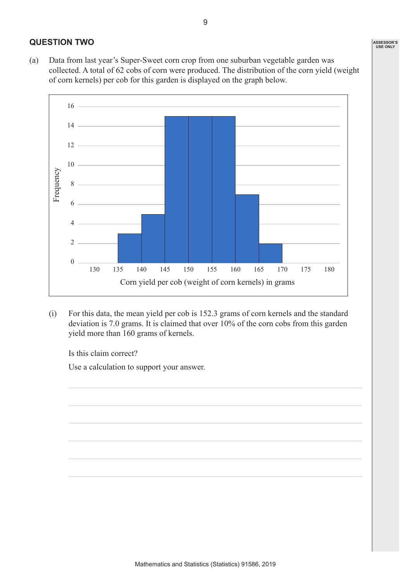### **QUESTION TWO**

(a) Data from last year's Super-Sweet corn crop from one suburban vegetable garden was collected. A total of 62 cobs of corn were produced. The distribution of the corn yield (weight of corn kernels) per cob for this garden is displayed on the graph below.



 (i) For this data, the mean yield per cob is 152.3 grams of corn kernels and the standard deviation is 7.0 grams. It is claimed that over 10% of the corn cobs from this garden yield more than 160 grams of kernels.

 Is this claim correct?

 Use a calculation to support your answer.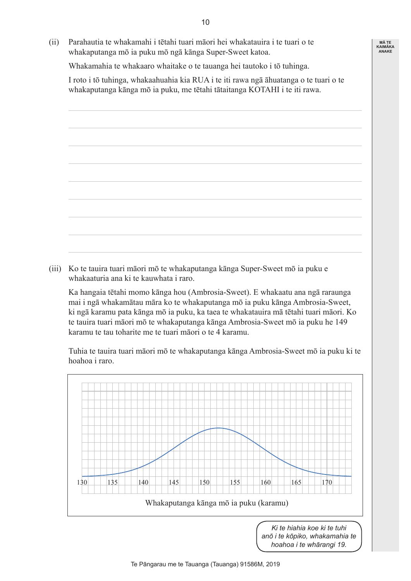(ii) Parahautia te whakamahi i tētahi tuari māori hei whakatauira i te tuari o te whakaputanga mō ia puku mō ngā kānga Super-Sweet katoa.

 Whakamahia te whakaaro whaitake o te tauanga hei tautoko i tō tuhinga.

 I roto i tō tuhinga, whakaahuahia kia RUA i te iti rawa ngā āhuatanga o te tuari o te whakaputanga kānga mō ia puku, me tētahi tātaitanga KOTAHI i te iti rawa.

 (iii) Ko te tauira tuari māori mō te whakaputanga kānga Super-Sweet mō ia puku e whakaaturia ana ki te kauwhata i raro.

 Ka hangaia tētahi momo kānga hou (Ambrosia-Sweet). E whakaatu ana ngā raraunga mai i ngā whakamātau māra ko te whakaputanga mō ia puku kānga Ambrosia-Sweet, ki ngā karamu pata kānga mō ia puku, ka taea te whakatauira mā tētahi tuari māori. Ko te tauira tuari māori mō te whakaputanga kānga Ambrosia-Sweet mō ia puku he 149 karamu te tau toharite me te tuari māori o te 4 karamu.

 Tuhia te tauira tuari māori mō te whakaputanga kānga Ambrosia-Sweet mō ia puku ki te hoahoa i raro.



*Ki te hiahia koe ki te tuhi anō i te kōpiko, whakamahia te hoahoa i te whārangi 19.*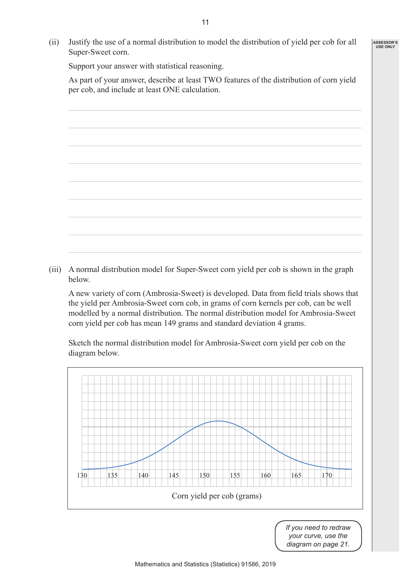(ii) Justify the use of a normal distribution to model the distribution of yield per cob for all Super-Sweet corn.

 Support your answer with statistical reasoning.

 As part of your answer, describe at least TWO features of the distribution of corn yield per cob, and include at least ONE calculation.

 (iii) A normal distribution model for Super-Sweet corn yield per cob is shown in the graph below.

 A new variety of corn (Ambrosia-Sweet) is developed. Data from field trials shows that the yield per Ambrosia-Sweet corn cob, in grams of corn kernels per cob, can be well modelled by a normal distribution. The normal distribution model for Ambrosia-Sweet corn yield per cob has mean 149 grams and standard deviation 4 grams.

 Sketch the normal distribution model for Ambrosia-Sweet corn yield per cob on the diagram below.



*If you need to redraw your curve, use the diagram on page 21.*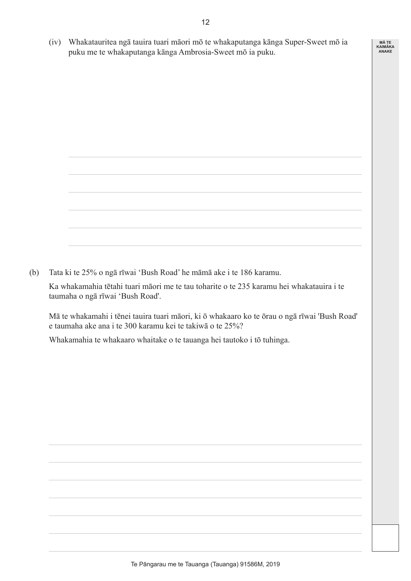(iv) Whakatauritea ngā tauira tuari māori mō te whakaputanga kānga Super-Sweet mō ia puku me te whakaputanga kānga Ambrosia-Sweet mō ia puku.

**MĀ TE KAIMĀKA ANAKE**

| ,我们也不会有什么?""我们的人,我们也不会有什么?""我们的人,我们也不会有什么?""我们的人,我们的人,我们的人,我们的人,我们的人,我们的人,我们的人,我 |  |  |
|----------------------------------------------------------------------------------|--|--|
|                                                                                  |  |  |
|                                                                                  |  |  |
|                                                                                  |  |  |

(b) Tata ki te 25% o ngā rīwai 'Bush Road' he māmā ake i te 186 karamu.

 Ka whakamahia tētahi tuari māori me te tau toharite o te 235 karamu hei whakatauira i te taumaha o ngā rīwai 'Bush Road'.

 Mā te whakamahi i tēnei tauira tuari māori, ki ō whakaaro ko te ōrau o ngā rīwai 'Bush Road' e taumaha ake ana i te 300 karamu kei te takiwā o te 25%?

 Whakamahia te whakaaro whaitake o te tauanga hei tautoko i tō tuhinga.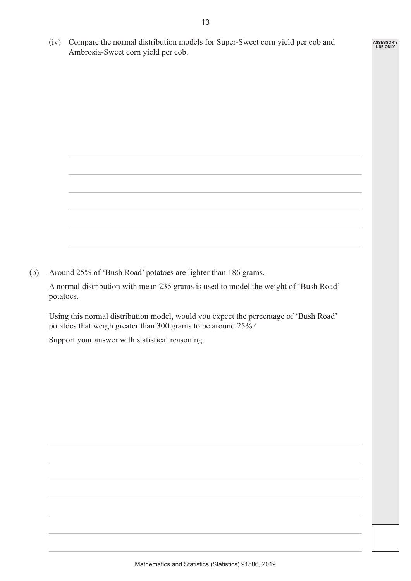(iv) Compare the normal distribution models for Super-Sweet corn yield per cob and Ambrosia-Sweet corn yield per cob.

**ASSESSOR'S USE ONLY**

(b) Around 25% of 'Bush Road' potatoes are lighter than 186 grams.

 A normal distribution with mean 235 grams is used to model the weight of 'Bush Road' potatoes.

 Using this normal distribution model, would you expect the percentage of 'Bush Road' potatoes that weigh greater than 300 grams to be around 25%?

 Support your answer with statistical reasoning.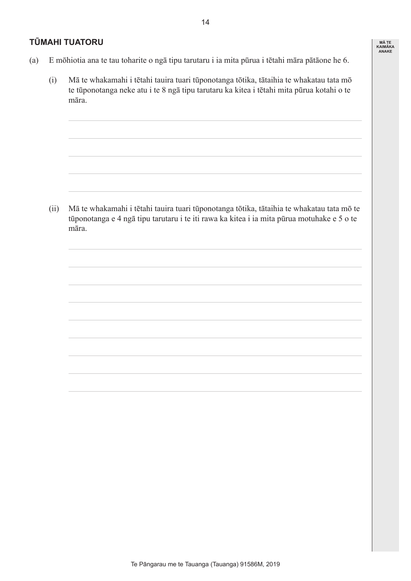#### **TŪMAHI TUATORU**

**MĀ TE KAIMĀKA ANAKE**

- (a) E mōhiotia ana te tau toharite o ngā tipu tarutaru i ia mita pūrua i tētahi māra pātāone he 6.
	- (i) Mā te whakamahi i tētahi tauira tuari tūponotanga tōtika, tātaihia te whakatau tata mō te tūponotanga neke atu i te 8 ngā tipu tarutaru ka kitea i tētahi mita pūrua kotahi o te māra.

 (ii) Mā te whakamahi i tētahi tauira tuari tūponotanga tōtika, tātaihia te whakatau tata mō te tūponotanga e 4 ngā tipu tarutaru i te iti rawa ka kitea i ia mita pūrua motuhake e 5 o te māra.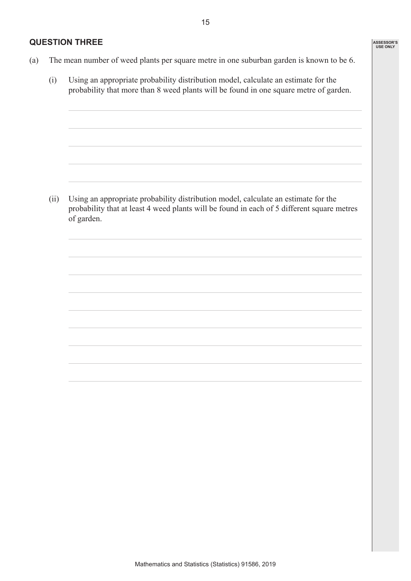#### **QUESTION THREE**

- (a) The mean number of weed plants per square metre in one suburban garden is known to be 6.
	- (i) Using an appropriate probability distribution model, calculate an estimate for the probability that more than 8 weed plants will be found in one square metre of garden.

 (ii) Using an appropriate probability distribution model, calculate an estimate for the probability that at least 4 weed plants will be found in each of 5 different square metres of garden.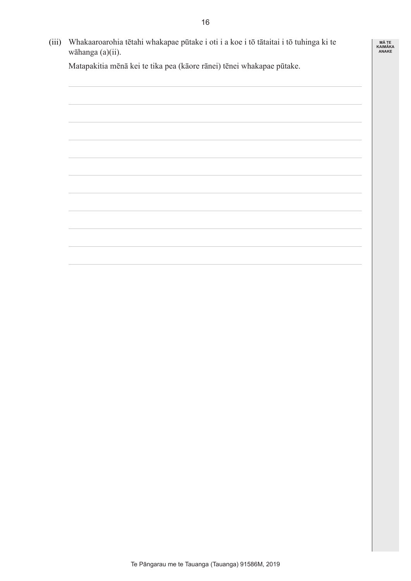**MĀ TE KAIMĀKA ANAKE**

 (iii) Whakaaroarohia tētahi whakapae pūtake i oti i a koe i tō tātaitai i tō tuhinga ki te wāhanga (a)(ii).

 Matapakitia mēnā kei te tika pea (kāore rānei) tēnei whakapae pūtake.

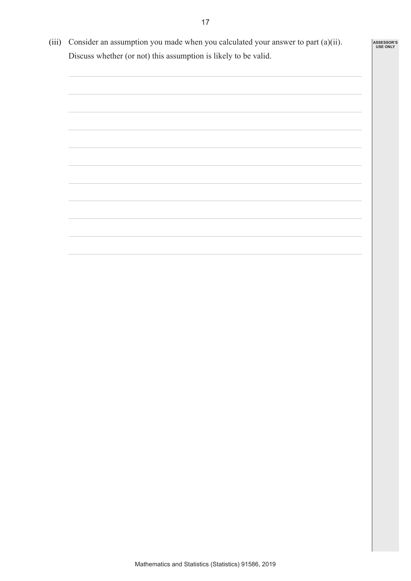(iii) Consider an assumption you made when you calculated your answer to part  $(a)(ii)$ . Discuss whether (or not) this assumption is likely to be valid.

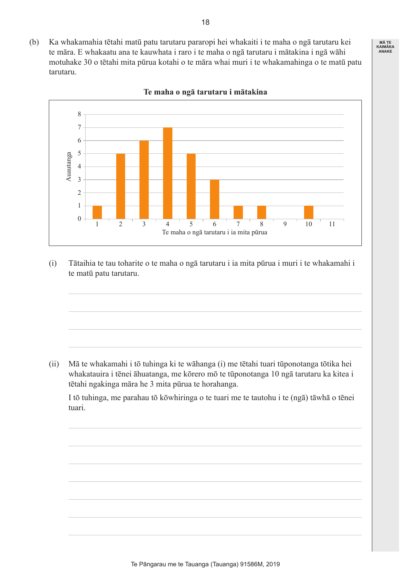(b) Ka whakamahia tētahi matū patu tarutaru pararopi hei whakaiti i te maha o ngā tarutaru kei te māra. E whakaatu ana te kauwhata i raro i te maha o ngā tarutaru i mātakina i ngā wāhi motuhake 30 o tētahi mita pūrua kotahi o te māra whai muri i te whakamahinga o te matū patu tarutaru.



#### **Te maha o ngā tarutaru i mātakina**

 (i) Tātaihia te tau toharite o te maha o ngā tarutaru i ia mita pūrua i muri i te whakamahi i te matū patu tarutaru.

 (ii) Mā te whakamahi i tō tuhinga ki te wāhanga (i) me tētahi tuari tūponotanga tōtika hei whakatauira i tēnei āhuatanga, me kōrero mō te tūponotanga 10 ngā tarutaru ka kitea i tētahi ngakinga māra he 3 mita pūrua te horahanga.

 I tō tuhinga, me parahau tō kōwhiringa o te tuari me te tautohu i te (ngā) tāwhā o tēnei tuari.

![](_page_17_Picture_6.jpeg)

18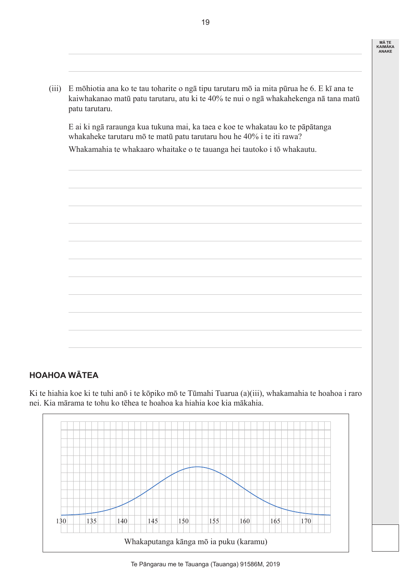**MĀ TE KAIMĀKA ANAKE**

 (iii) E mōhiotia ana ko te tau toharite o ngā tipu tarutaru mō ia mita pūrua he 6. E kī ana te kaiwhakanao matū patu tarutaru, atu ki te 40% te nui o ngā whakahekenga nā tana matū patu tarutaru.

 E ai ki ngā raraunga kua tukuna mai, ka taea e koe te whakatau ko te pāpātanga whakaheke tarutaru mō te matū patu tarutaru hou he 40% i te iti rawa?

 Whakamahia te whakaaro whaitake o te tauanga hei tautoko i tō whakautu.

![](_page_18_Picture_4.jpeg)

## **HOAHOA WĀTEA**

Ki te hiahia koe ki te tuhi anō i te kōpiko mō te Tūmahi Tuarua (a)(iii), whakamahia te hoahoa i raro nei. Kia mārama te tohu ko tēhea te hoahoa ka hiahia koe kia mākahia.

![](_page_18_Figure_7.jpeg)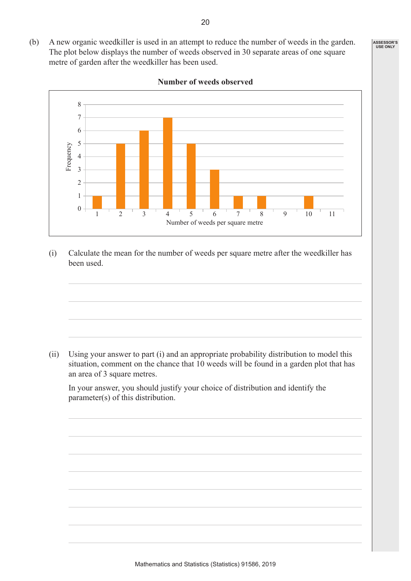![](_page_19_Figure_2.jpeg)

**Number of weeds observed**

 (i) Calculate the mean for the number of weeds per square metre after the weedkiller has been used.

 (ii) Using your answer to part (i) and an appropriate probability distribution to model this situation, comment on the chance that 10 weeds will be found in a garden plot that has an area of 3 square metres.

 In your answer, you should justify your choice of distribution and identify the parameter(s) of this distribution.

20

(b) A new organic weedkiller is used in an attempt to reduce the number of weeds in the garden. The plot below displays the number of weeds observed in 30 separate areas of one square

metre of garden after the weedkiller has been used.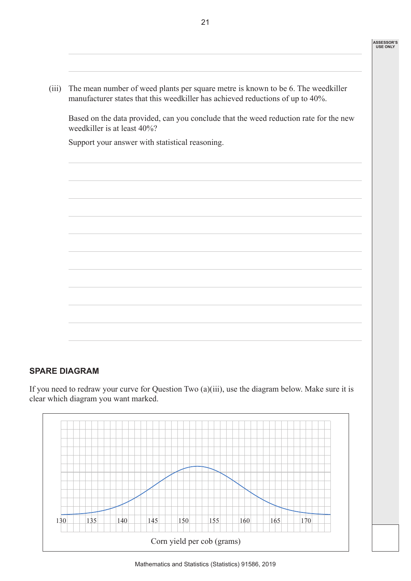(iii) The mean number of weed plants per square metre is known to be 6. The weedkiller manufacturer states that this weedkiller has achieved reductions of up to 40%.

 Based on the data provided, can you conclude that the weed reduction rate for the new weedkiller is at least 40%?

 Support your answer with statistical reasoning.

![](_page_20_Picture_4.jpeg)

## **SPARE DIAGRAM**

If you need to redraw your curve for Question Two (a)(iii), use the diagram below. Make sure it is clear which diagram you want marked.

![](_page_20_Picture_7.jpeg)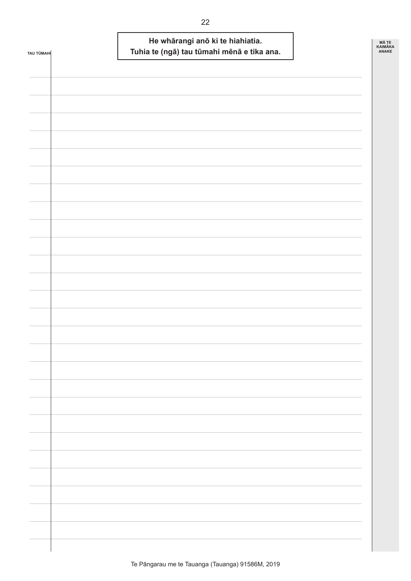| TAU TŪMAHI | He whārangi anō ki te hiahiatia.<br>Tuhia te (ngā) tau tūmahi mēnā e tika ana. | <b>MÃ TE</b><br><b>KAIMÄKA</b><br>ANAKE |
|------------|--------------------------------------------------------------------------------|-----------------------------------------|
|            |                                                                                |                                         |
|            |                                                                                |                                         |
|            |                                                                                |                                         |
|            |                                                                                |                                         |
|            |                                                                                |                                         |
|            |                                                                                |                                         |
|            |                                                                                |                                         |
|            |                                                                                |                                         |
|            |                                                                                |                                         |
|            |                                                                                |                                         |
|            |                                                                                |                                         |
|            |                                                                                |                                         |
|            |                                                                                |                                         |
|            |                                                                                |                                         |
|            |                                                                                |                                         |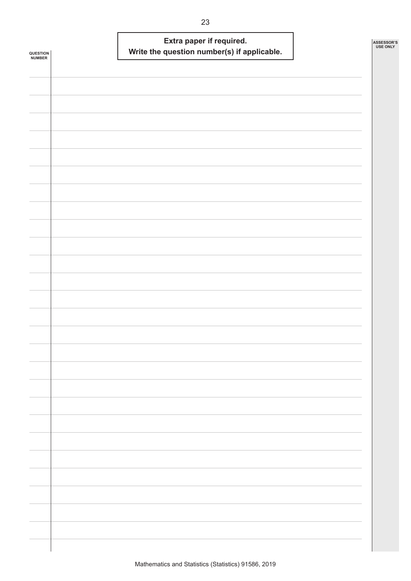| QUESTION<br><b>NUMBER</b> |  | Extra paper if required.<br>Write the question number(s) if applicable. |  | ASSESSOR'S<br><b>USE ONLY</b> |
|---------------------------|--|-------------------------------------------------------------------------|--|-------------------------------|
|                           |  |                                                                         |  |                               |
|                           |  |                                                                         |  |                               |
|                           |  |                                                                         |  |                               |
|                           |  |                                                                         |  |                               |
|                           |  |                                                                         |  |                               |
|                           |  |                                                                         |  |                               |
|                           |  |                                                                         |  |                               |
|                           |  |                                                                         |  |                               |
|                           |  |                                                                         |  |                               |
|                           |  |                                                                         |  |                               |
|                           |  |                                                                         |  |                               |
|                           |  |                                                                         |  |                               |
|                           |  |                                                                         |  |                               |
|                           |  |                                                                         |  |                               |
|                           |  |                                                                         |  |                               |
|                           |  |                                                                         |  |                               |
|                           |  |                                                                         |  |                               |
|                           |  |                                                                         |  |                               |
|                           |  |                                                                         |  |                               |
|                           |  |                                                                         |  |                               |
|                           |  |                                                                         |  |                               |
|                           |  |                                                                         |  |                               |
|                           |  |                                                                         |  |                               |
|                           |  |                                                                         |  |                               |
|                           |  |                                                                         |  |                               |
|                           |  |                                                                         |  |                               |